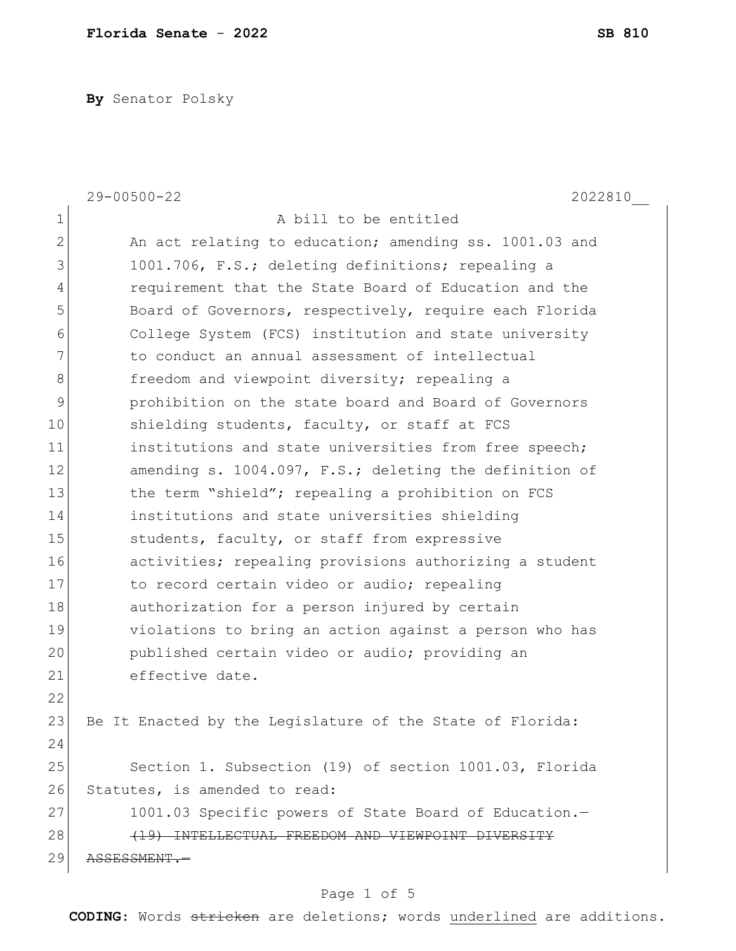**By** Senator Polsky

|                | $29 - 00500 - 22$<br>2022810                              |
|----------------|-----------------------------------------------------------|
| 1              | A bill to be entitled                                     |
| $\overline{2}$ | An act relating to education; amending ss. 1001.03 and    |
| 3              | 1001.706, F.S.; deleting definitions; repealing a         |
| 4              | requirement that the State Board of Education and the     |
| 5              | Board of Governors, respectively, require each Florida    |
| 6              | College System (FCS) institution and state university     |
| 7              | to conduct an annual assessment of intellectual           |
| 8              | freedom and viewpoint diversity; repealing a              |
| 9              | prohibition on the state board and Board of Governors     |
| 10             | shielding students, faculty, or staff at FCS              |
| 11             | institutions and state universities from free speech;     |
| 12             | amending s. 1004.097, F.S.; deleting the definition of    |
| 13             | the term "shield"; repealing a prohibition on FCS         |
| 14             | institutions and state universities shielding             |
| 15             | students, faculty, or staff from expressive               |
| 16             | activities; repealing provisions authorizing a student    |
| 17             | to record certain video or audio; repealing               |
| 18             | authorization for a person injured by certain             |
| 19             | violations to bring an action against a person who has    |
| 20             | published certain video or audio; providing an            |
| 21             | effective date.                                           |
| 22             |                                                           |
| 23             | Be It Enacted by the Legislature of the State of Florida: |
| 24             |                                                           |
| 25             | Section 1. Subsection (19) of section 1001.03, Florida    |
| 26             | Statutes, is amended to read:                             |
| 27             | 1001.03 Specific powers of State Board of Education.-     |
| 28             | (19) INTELLECTUAL FREEDOM AND VIEWPOINT DIVERSITY         |
| 29             | ASSESSMENT.-                                              |
|                |                                                           |

## Page 1 of 5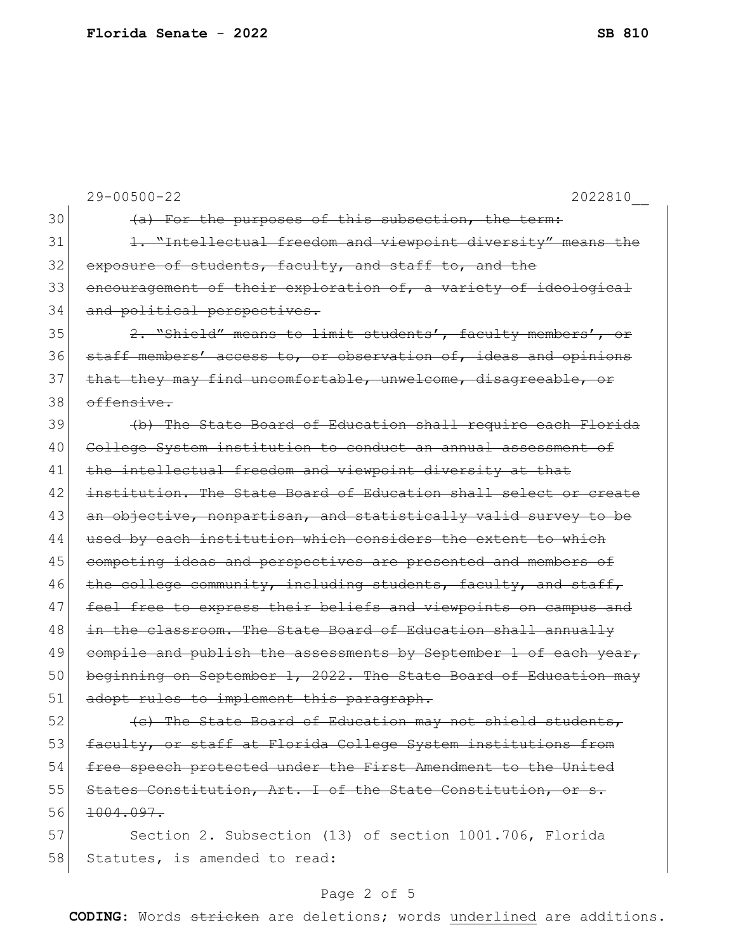|    | $29 - 00500 - 22$<br>2022810                                     |
|----|------------------------------------------------------------------|
| 30 | (a) For the purposes of this subsection, the term:               |
| 31 | 1. "Intellectual freedom and viewpoint diversity" means the      |
| 32 | exposure of students, faculty, and staff to, and the             |
| 33 | encouragement of their exploration of, a variety of ideological  |
| 34 | and political perspectives.                                      |
| 35 | 2. "Shield" means to limit students', faculty members', or       |
| 36 | staff members' access to, or observation of, ideas and opinions  |
| 37 | that they may find uncomfortable, unwelcome, disagreeable, or    |
| 38 | offensive.                                                       |
| 39 | (b) The State Board of Education shall require each Florida      |
| 40 | College System institution to conduct an annual assessment of    |
| 41 | the intellectual freedom and viewpoint diversity at that         |
| 42 | institution. The State Board of Education shall select or create |
| 43 | an objective, nonpartisan, and statistically valid survey to be  |
| 44 | used by each institution which considers the extent to which     |
| 45 | competing ideas and perspectives are presented and members of    |
| 46 | the college community, including students, faculty, and staff,   |
| 47 | feel free to express their beliefs and viewpoints on campus and  |
| 48 | in the classroom. The State Board of Education shall annually    |
| 49 | compile and publish the assessments by September 1 of each year, |
| 50 | beginning on September 1, 2022. The State Board of Education may |
| 51 | adopt rules to implement this paragraph.                         |
| 52 | (e) The State Board of Education may not shield students,        |
| 53 | faculty, or staff at Florida College System institutions from    |
| 54 | free speech protected under the First Amendment to the United    |
| 55 | States Constitution, Art. I of the State Constitution, or s.     |
| 56 | 1004.097.                                                        |
| 57 | Section 2. Subsection (13) of section 1001.706, Florida          |
| 58 | Statutes, is amended to read:                                    |

## Page 2 of 5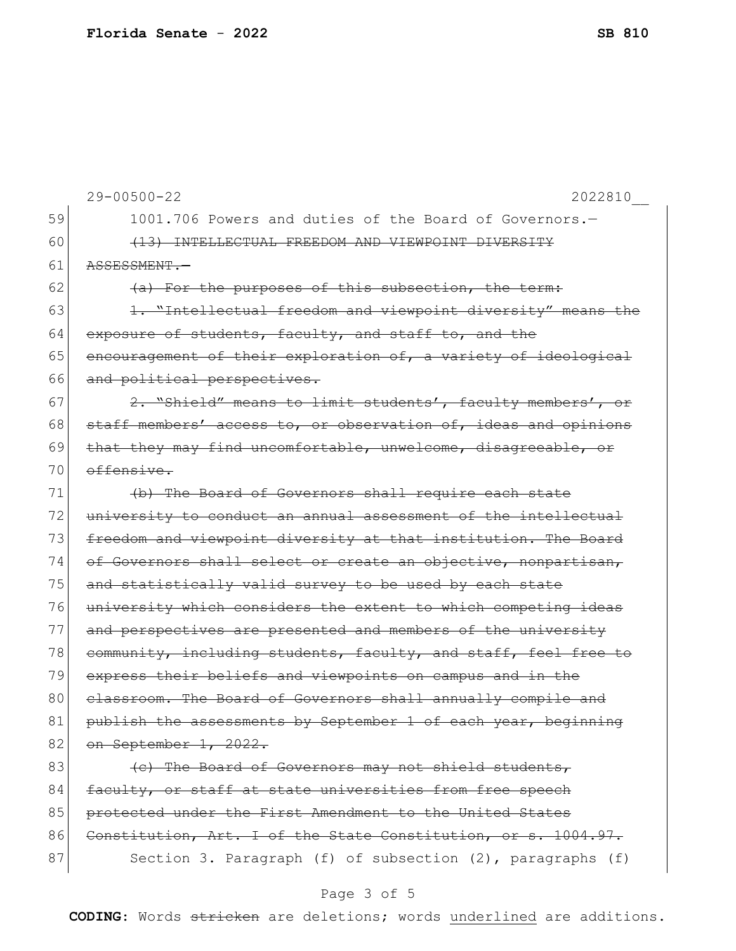|    | $29 - 00500 - 22$<br>2022810                                    |
|----|-----------------------------------------------------------------|
| 59 | 1001.706 Powers and duties of the Board of Governors.-          |
| 60 | (13) INTELLECTUAL FREEDOM AND VIEWPOINT DIVERSITY               |
| 61 | ASSESSMENT.-                                                    |
| 62 | (a) For the purposes of this subsection, the term:              |
| 63 | 1. "Intellectual freedom and viewpoint diversity" means the     |
| 64 | exposure of students, faculty, and staff to, and the            |
| 65 | encouragement of their exploration of, a variety of ideological |
| 66 | and political perspectives.                                     |
| 67 | 2. "Shield" means to limit students', faculty members', or      |
| 68 | staff members' access to, or observation of, ideas and opinions |
| 69 | that they may find uncomfortable, unwelcome, disagreeable, or   |
| 70 | offensive.                                                      |
| 71 | (b) The Board of Governors shall require each state             |
| 72 | university to conduct an annual assessment of the intellectual  |
| 73 | freedom and viewpoint diversity at that institution. The Board  |
| 74 | of Governors shall select or create an objective, nonpartisan,  |
| 75 | and statistically valid survey to be used by each state         |
| 76 | university which considers the extent to which competing ideas  |
| 77 | and perspectives are presented and members of the university    |
| 78 | community, including students, faculty, and staff, feel free to |
| 79 | express their beliefs and viewpoints on campus and in the       |
| 80 | classroom. The Board of Governors shall annually compile and    |
| 81 | publish the assessments by September 1 of each year, beginning  |
| 82 | on September 1, 2022.                                           |
| 83 | (e) The Board of Governors may not shield students,             |
| 84 | faculty, or staff at state universities from free speech        |
| 85 | protected under the First Amendment to the United States        |
| 86 | Constitution, Art. I of the State Constitution, or s. 1004.97.  |
| 87 | Section 3. Paragraph (f) of subsection (2), paragraphs (f)      |
|    |                                                                 |

## Page 3 of 5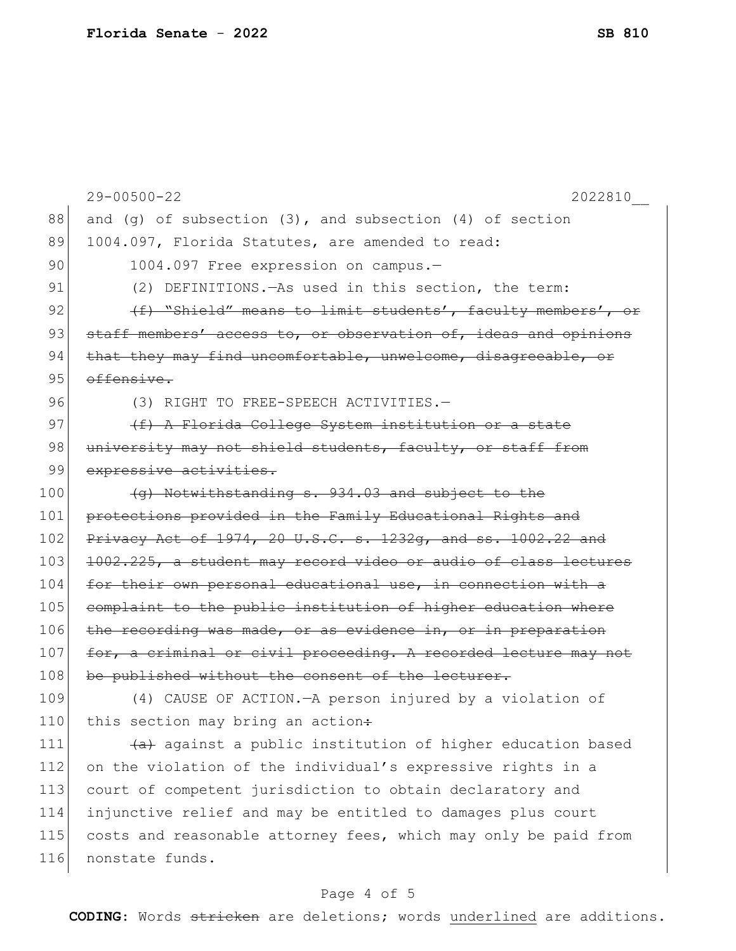29-00500-22 2022810\_\_ 88 and (g) of subsection  $(3)$ , and subsection  $(4)$  of section 89 1004.097, Florida Statutes, are amended to read: 90 1004.097 Free expression on campus.-91 (2) DEFINITIONS.—As used in this section, the term: 92  $(f)$  "Shield" means to limit students', faculty members', or 93 staff members' access to, or observation of, ideas and opinions 94 that they may find uncomfortable, unwelcome, disagreeable, or 95 offensive. 96 (3) RIGHT TO FREE-SPEECH ACTIVITIES. 97 (<del>f) A Florida College System institution or a state</del> 98 university may not shield students, faculty, or staff from 99 expressive activities.  $100$  (g) Notwithstanding s. 934.03 and subject to the 101 protections provided in the Family Educational Rights and 102 Privacy Act of 1974, 20 U.S.C. s. 1232q, and ss. 1002.22 and 103 1002.225, a student may record video or audio of class lectures 104 for their own personal educational use, in connection with a 105 complaint to the public institution of higher education where 106 the recording was made, or as evidence in, or in preparation 107 for, a criminal or civil proceeding. A recorded lecture may not 108 be published without the consent of the lecturer. 109 (4) CAUSE OF ACTION.—A person injured by a violation of 110 this section may bring an action: 111  $(a)$  against a public institution of higher education based 112 on the violation of the individual's expressive rights in a 113 court of competent jurisdiction to obtain declaratory and 114 injunctive relief and may be entitled to damages plus court 115 costs and reasonable attorney fees, which may only be paid from 116 nonstate funds.

## Page 4 of 5